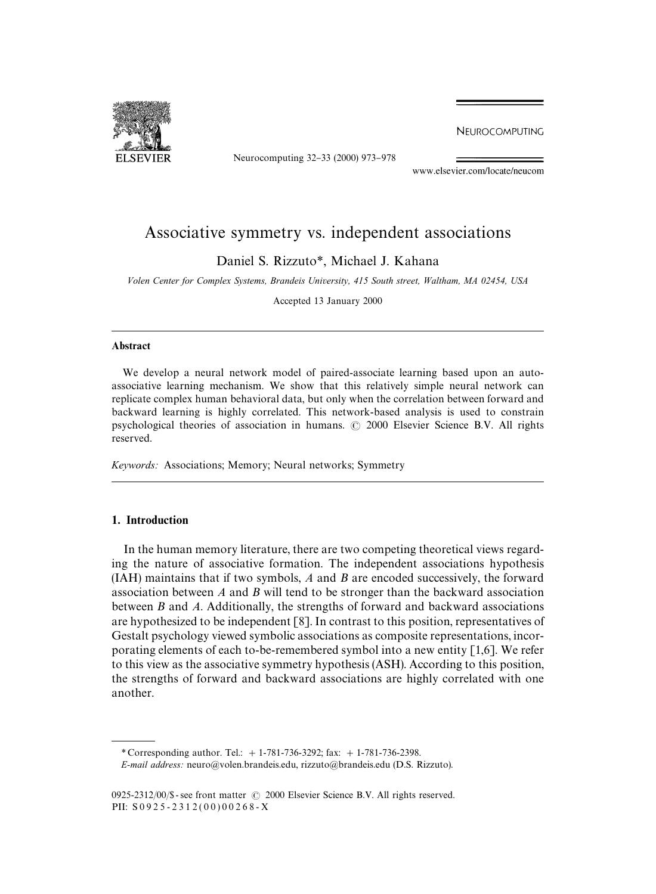

Neurocomputing 32-33 (2000) 973-978

NEUROCOMPUTING

www.elsevier.com/locate/neucom

# Associative symmetry vs. independent associations

Daniel S. Rizzuto*\**, Michael J. Kahana

*Volen Center for Complex Systems, Brandeis University, 415 South street, Waltham, MA 02454, USA*

Accepted 13 January 2000

#### Abstract

We develop a neural network model of paired-associate learning based upon an autoassociative learning mechanism. We show that this relatively simple neural network can replicate complex human behavioral data, but only when the correlation between forward and backward learning is highly correlated. This network-based analysis is used to constrain psychological theories of association in humans.  $\odot$  2000 Elsevier Science B.V. All rights reserved.

*Keywords:* Associations; Memory; Neural networks; Symmetry

## 1. Introduction

In the human memory literature, there are two competing theoretical views regarding the nature of associative formation. The independent associations hypothesis (IAH) maintains that if two symbols, *A* and *B* are encoded successively, the forward association between *A* and *B* will tend to be stronger than the backward association between *B* and *A*. Additionally, the strengths of forward and backward associations are hypothesized to be independent [8]. In contrast to this position, representatives of Gestalt psychology viewed symbolic associations as composite representations, incorporating elements of each to-be-remembered symbol into a new entity [1,6]. We refer to this view as the associative symmetry hypothesis (ASH). According to this position, the strengths of forward and backward associations are highly correlated with one another.

*\** Corresponding author. Tel.: #1-781-736-3292; fax: #1-781-736-2398.

*E-mail address:* neuro@volen.brandeis.edu, rizzuto@brandeis.edu (D.S. Rizzuto).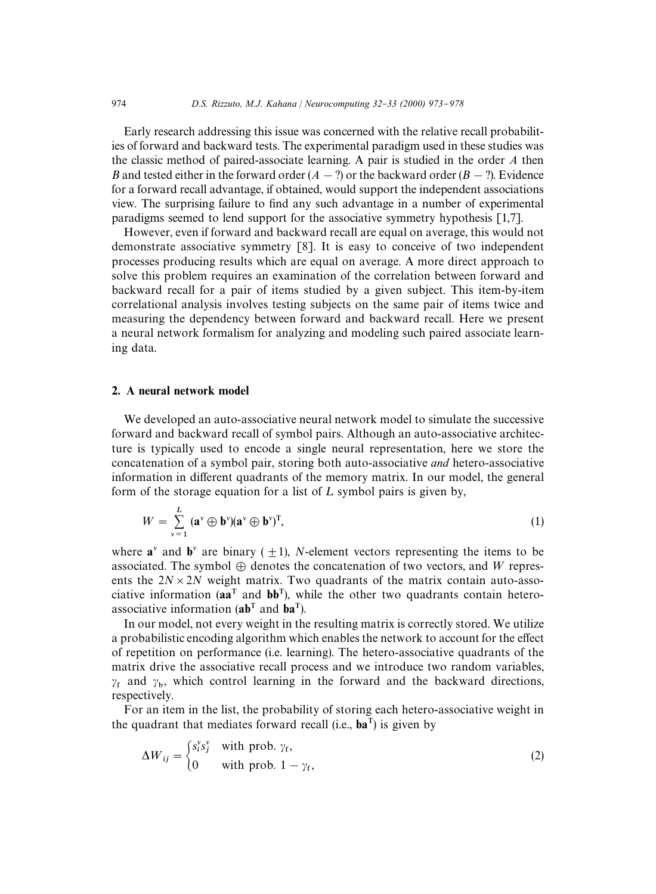Early research addressing this issue was concerned with the relative recall probabilities of forward and backward tests. The experimental paradigm used in these studies was the classic method of paired-associate learning. A pair is studied in the order *A* then *B* and tested either in the forward order  $(A - ?)$  or the backward order  $(B - ?)$ . Evidence for a forward recall advantage, if obtained, would support the independent associations view. The surprising failure to find any such advantage in a number of experimental paradigms seemed to lend support for the associative symmetry hypothesis [1,7].

However, even if forward and backward recall are equal on average, this would not demonstrate associative symmetry [8]. It is easy to conceive of two independent processes producing results which are equal on average. A more direct approach to solve this problem requires an examination of the correlation between forward and backward recall for a pair of items studied by a given subject. This item-by-item correlational analysis involves testing subjects on the same pair of items twice and measuring the dependency between forward and backward recall. Here we present a neural network formalism for analyzing and modeling such paired associate learning data.

#### 2. A neural network model

We developed an auto-associative neural network model to simulate the successive forward and backward recall of symbol pairs. Although an auto-associative architecture is typically used to encode a single neural representation, here we store the concatenation of a symbol pair, storing both auto-associative *and* hetero-associative information in different quadrants of the memory matrix. In our model, the general form of the storage equation for a list of  $L$  symbol pairs is given by,

$$
W = \sum_{v=1}^{L} (\mathbf{a}^v \oplus \mathbf{b}^v)(\mathbf{a}^v \oplus \mathbf{b}^v)^T,
$$
 (1)

where  $\mathbf{a}^{\nu}$  and  $\mathbf{b}^{\nu}$  are binary ( $+1$ ), *N*-element vectors representing the items to be associated. The symbol  $\oplus$  denotes the concatenation of two vectors, and W represents the  $2N \times 2N$  weight matrix. Two quadrants of the matrix contain auto-associative information ( $aa^T$  and  $bb^T$ ), while the other two quadrants contain heteroassociative information  $(ab^T$  and  $ba^T$ ).

In our model, not every weight in the resulting matrix is correctly stored. We utilize a probabilistic encoding algorithm which enables the network to account for the effect of repetition on performance (i.e. learning). The hetero-associative quadrants of the matrix drive the associative recall process and we introduce two random variables,  $\gamma_f$  and  $\gamma_b$ , which control learning in the forward and the backward directions, respectively.

For an item in the list, the probability of storing each hetero-associative weight in the quadrant that mediates forward recall (i.e.,  $ba<sup>T</sup>$ ) is given by

$$
\Delta W_{ij} = \begin{cases} s_i^{\mathsf{y}} s_j^{\mathsf{v}} & \text{with prob. } \gamma_{\mathsf{f}}, \\ 0 & \text{with prob. } 1 - \gamma_{\mathsf{f}}, \end{cases} \tag{2}
$$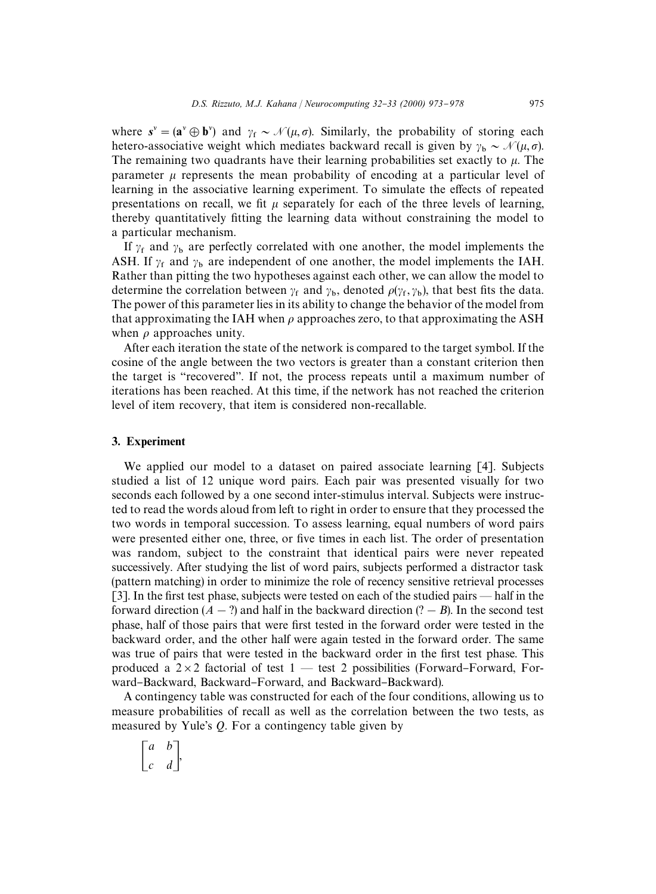where  $s^{\nu} = (\mathbf{a}^{\nu} \oplus \mathbf{b}^{\nu})$  and  $\gamma_f \sim \mathcal{N}(\mu, \sigma)$ . Similarly, the probability of storing each hetero-associative weight which mediates backward recall is given by  $\gamma_b \sim \mathcal{N}(\mu, \sigma)$ . The remaining two quadrants have their learning probabilities set exactly to  $\mu$ . The parameter  $\mu$  represents the mean probability of encoding at a particular level of learning in the associative learning experiment. To simulate the effects of repeated presentations on recall, we fit  $\mu$  separately for each of the three levels of learning, thereby quantitatively fitting the learning data without constraining the model to a particular mechanism.

If  $\gamma_f$  and  $\gamma_b$  are perfectly correlated with one another, the model implements the ASH. If  $\gamma_f$  and  $\gamma_b$  are independent of one another, the model implements the IAH. Rather than pitting the two hypotheses against each other, we can allow the model to determine the correlation between  $\gamma_f$  and  $\gamma_b$ , denoted  $\rho(\gamma_f, \gamma_b)$ , that best fits the data. The power of this parameter lies in its ability to change the behavior of the model from that approximating the IAH when  $\rho$  approaches zero, to that approximating the ASH when  $\rho$  approaches unity.

After each iteration the state of the network is compared to the target symbol. If the cosine of the angle between the two vectors is greater than a constant criterion then the target is "recovered". If not, the process repeats until a maximum number of iterations has been reached. At this time, if the network has not reached the criterion level of item recovery, that item is considered non-recallable.

#### 3. Experiment

We applied our model to a dataset on paired associate learning [4]. Subjects studied a list of 12 unique word pairs. Each pair was presented visually for two seconds each followed by a one second inter-stimulus interval. Subjects were instructed to read the words aloud from left to right in order to ensure that they processed the two words in temporal succession. To assess learning, equal numbers of word pairs were presented either one, three, or five times in each list. The order of presentation was random, subject to the constraint that identical pairs were never repeated successively. After studying the list of word pairs, subjects performed a distractor task (pattern matching) in order to minimize the role of recency sensitive retrieval processes [3]. In the first test phase, subjects were tested on each of the studied pairs  $-$  half in the forward direction  $(A - ?)$  and half in the backward direction  $(? - B)$ . In the second test phase, half of those pairs that were first tested in the forward order were tested in the backward order, and the other half were again tested in the forward order. The same was true of pairs that were tested in the backward order in the first test phase. This produced a  $2\times2$  factorial of test 1 – test 2 possibilities (Forward–Forward, Forward-Backward, Backward-Forward, and Backward-Backward).

A contingency table was constructed for each of the four conditions, allowing us to measure probabilities of recall as well as the correlation between the two tests, as measured by Yule's *Q*. For a contingency table given by

 $\begin{bmatrix} a & b \\ c & d \end{bmatrix}$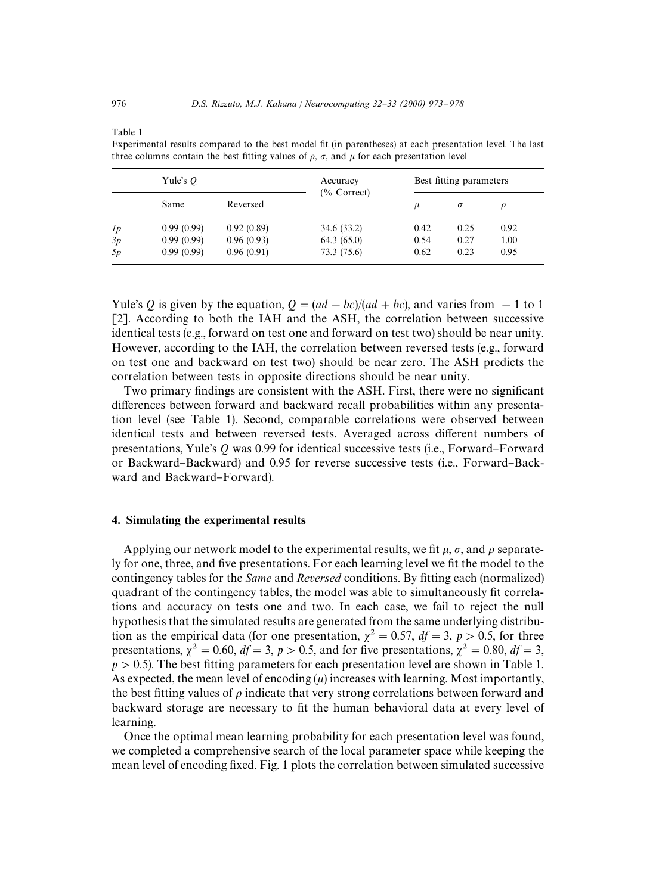Table 1

|    | Yule's $O$ |            | Accuracy<br>$(\%$ Correct) | Best fitting parameters |          |      |
|----|------------|------------|----------------------------|-------------------------|----------|------|
|    | Same       | Reversed   |                            | $\mu$                   | $\sigma$ |      |
| 1p | 0.99(0.99) | 0.92(0.89) | 34.6 (33.2)                | 0.42                    | 0.25     | 0.92 |
| 3p | 0.99(0.99) | 0.96(0.93) | 64.3(65.0)                 | 0.54                    | 0.27     | 1.00 |
| 5p | 0.99(0.99) | 0.96(0.91) | 73.3 (75.6)                | 0.62                    | 0.23     | 0.95 |

Experimental results compared to the best model fit (in parentheses) at each presentation level. The last three columns contain the best fitting values of  $\rho$ ,  $\sigma$ , and  $\mu$  for each presentation level

Yule's *Q* is given by the equation,  $Q = (ad - bc)/(ad + bc)$ , and varies from  $-1$  to 1 [2]. According to both the IAH and the ASH, the correlation between successive identical tests (e.g., forward on test one and forward on test two) should be near unity. However, according to the IAH, the correlation between reversed tests (e.g., forward on test one and backward on test two) should be near zero. The ASH predicts the correlation between tests in opposite directions should be near unity.

Two primary findings are consistent with the ASH. First, there were no significant differences between forward and backward recall probabilities within any presentation level (see Table 1). Second, comparable correlations were observed between identical tests and between reversed tests. Averaged across different numbers of presentations, Yule's Q was 0.99 for identical successive tests (i.e., Forward-Forward or Backward-Backward) and 0.95 for reverse successive tests (i.e., Forward-Backward and Backward–Forward).

#### 4. Simulating the experimental results

Applying our network model to the experimental results, we fit  $\mu$ ,  $\sigma$ , and  $\rho$  separately for one, three, and five presentations. For each learning level we fit the model to the contingency tables for the *Same* and *Reversed* conditions. By fitting each (normalized) quadrant of the contingency tables, the model was able to simultaneously fit correlations and accuracy on tests one and two. In each case, we fail to reject the null hypothesis that the simulated results are generated from the same underlying distribution as the empirical data (for one presentation,  $\chi^2 = 0.57$ ,  $df = 3$ ,  $p > 0.5$ , for three presentations,  $\chi^2 = 0.60$ ,  $df = 3$ ,  $p > 0.5$ , and for five presentations,  $\chi^2 = 0.80$ ,  $df = 3$ ,  $p > 0.5$ ). The best fitting parameters for each presentation level are shown in Table 1. As expected, the mean level of encoding  $(\mu)$  increases with learning. Most importantly, the best fitting values of  $\rho$  indicate that very strong correlations between forward and backward storage are necessary to fit the human behavioral data at every level of learning.

Once the optimal mean learning probability for each presentation level was found, we completed a comprehensive search of the local parameter space while keeping the mean level of encoding fixed. Fig. 1 plots the correlation between simulated successive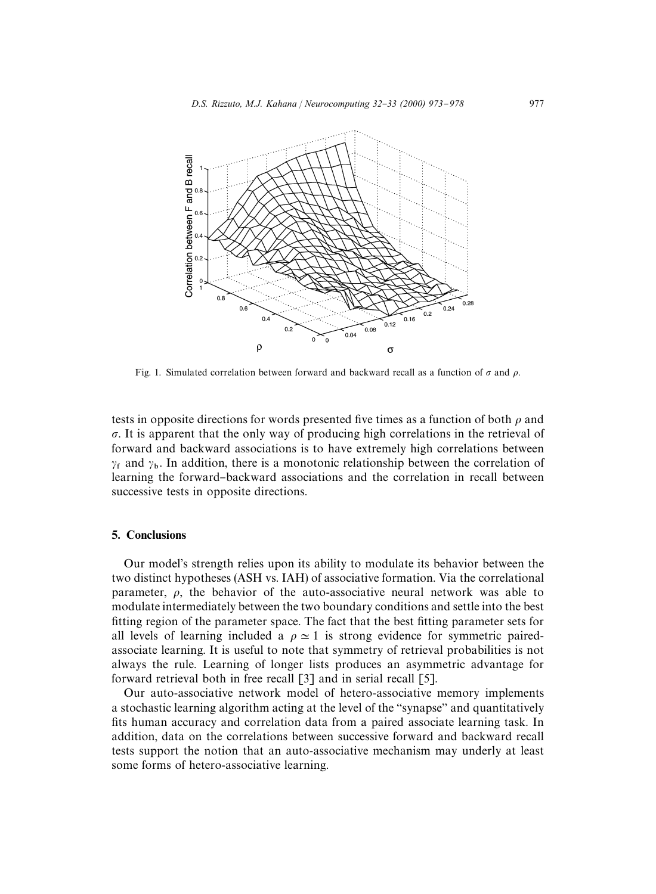

Fig. 1. Simulated correlation between forward and backward recall as a function of  $\sigma$  and  $\rho$ .

tests in opposite directions for words presented five times as a function of both  $\rho$  and  $\sigma$ . It is apparent that the only way of producing high correlations in the retrieval of forward and backward associations is to have extremely high correlations between  $\gamma_f$  and  $\gamma_b$ . In addition, there is a monotonic relationship between the correlation of learning the forward-backward associations and the correlation in recall between successive tests in opposite directions.

### 5. Conclusions

Our model's strength relies upon its ability to modulate its behavior between the two distinct hypotheses (ASH vs. IAH) of associative formation. Via the correlational parameter,  $\rho$ , the behavior of the auto-associative neural network was able to modulate intermediately between the two boundary conditions and settle into the best fitting region of the parameter space. The fact that the best fitting parameter sets for all levels of learning included a  $\rho \approx 1$  is strong evidence for symmetric pairedassociate learning. It is useful to note that symmetry of retrieval probabilities is not always the rule. Learning of longer lists produces an asymmetric advantage for forward retrieval both in free recall [3] and in serial recall [5].

Our auto-associative network model of hetero-associative memory implements a stochastic learning algorithm acting at the level of the "synapse" and quantitatively fits human accuracy and correlation data from a paired associate learning task. In addition, data on the correlations between successive forward and backward recall tests support the notion that an auto-associative mechanism may underly at least some forms of hetero-associative learning.